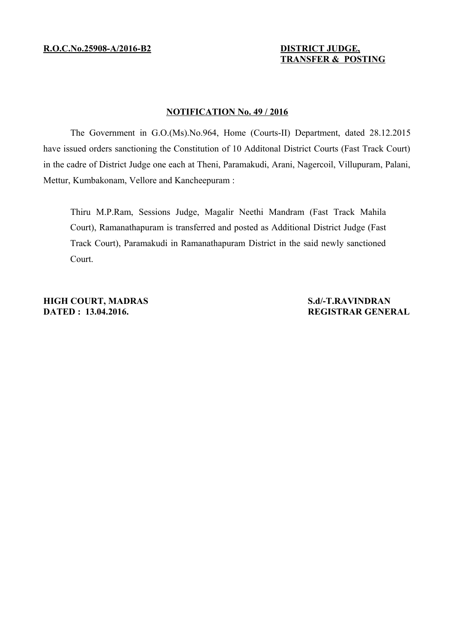# **TRANSFER & POSTING**

## **NOTIFICATION No. 49 / 2016**

The Government in G.O.(Ms).No.964, Home (Courts-II) Department, dated 28.12.2015 have issued orders sanctioning the Constitution of 10 Additonal District Courts (Fast Track Court) in the cadre of District Judge one each at Theni, Paramakudi, Arani, Nagercoil, Villupuram, Palani, Mettur, Kumbakonam, Vellore and Kancheepuram :

Thiru M.P.Ram, Sessions Judge, Magalir Neethi Mandram (Fast Track Mahila Court), Ramanathapuram is transferred and posted as Additional District Judge (Fast Track Court), Paramakudi in Ramanathapuram District in the said newly sanctioned Court.

**HIGH COURT, MADRAS** S.d/-T.RAVINDRAN **DATED : 13.04.2016.** REGISTRAR GENERAL